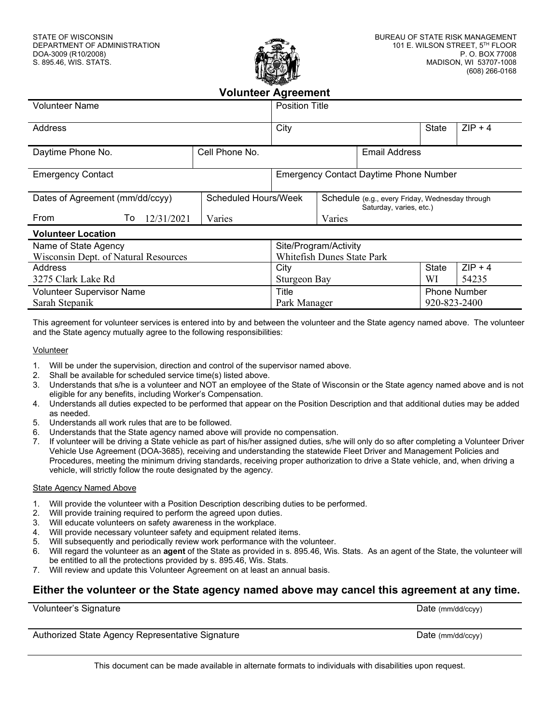

| <b>Volunteer Agreement</b>           |                      |                       |                                               |                                                                            |                     |       |  |
|--------------------------------------|----------------------|-----------------------|-----------------------------------------------|----------------------------------------------------------------------------|---------------------|-------|--|
| <b>Volunteer Name</b>                |                      | <b>Position Title</b> |                                               |                                                                            |                     |       |  |
| Address                              |                      | City                  |                                               | State                                                                      | $ZIP + 4$           |       |  |
| Daytime Phone No.                    | Cell Phone No.       |                       |                                               | <b>Email Address</b>                                                       |                     |       |  |
| <b>Emergency Contact</b>             |                      |                       | <b>Emergency Contact Daytime Phone Number</b> |                                                                            |                     |       |  |
| Dates of Agreement (mm/dd/ccyy)      | Scheduled Hours/Week |                       |                                               | Schedule (e.g., every Friday, Wednesday through<br>Saturday, varies, etc.) |                     |       |  |
| From<br>12/31/2021<br>To             | Varies               | Varies                |                                               |                                                                            |                     |       |  |
| <b>Volunteer Location</b>            |                      |                       |                                               |                                                                            |                     |       |  |
| Name of State Agency                 |                      |                       | Site/Program/Activity                         |                                                                            |                     |       |  |
| Wisconsin Dept. of Natural Resources |                      |                       | <b>Whitefish Dunes State Park</b>             |                                                                            |                     |       |  |
| Address                              |                      | City                  |                                               | <b>State</b>                                                               | $ZIP + 4$           |       |  |
| 3275 Clark Lake Rd                   | Sturgeon Bay         |                       |                                               |                                                                            | WI                  | 54235 |  |
| <b>Volunteer Supervisor Name</b>     |                      | Title                 |                                               |                                                                            | <b>Phone Number</b> |       |  |
| Sarah Stepanik                       |                      | Park Manager          |                                               |                                                                            | 920-823-2400        |       |  |

This agreement for volunteer services is entered into by and between the volunteer and the State agency named above. The volunteer and the State agency mutually agree to the following responsibilities:

## Volunteer

- 1. Will be under the supervision, direction and control of the supervisor named above.
- 2. Shall be available for scheduled service time(s) listed above.
- 3. Understands that s/he is a volunteer and NOT an employee of the State of Wisconsin or the State agency named above and is not eligible for any benefits, including Worker's Compensation.
- 4. Understands all duties expected to be performed that appear on the Position Description and that additional duties may be added as needed.
- 5. Understands all work rules that are to be followed.
- 6. Understands that the State agency named above will provide no compensation.
- 7. If volunteer will be driving a State vehicle as part of his/her assigned duties, s/he will only do so after completing a Volunteer Driver Vehicle Use Agreement (DOA-3685), receiving and understanding the statewide Fleet Driver and Management Policies and Procedures, meeting the minimum driving standards, receiving proper authorization to drive a State vehicle, and, when driving a vehicle, will strictly follow the route designated by the agency.

## State Agency Named Above

- 1. Will provide the volunteer with a Position Description describing duties to be performed.
- 2. Will provide training required to perform the agreed upon duties.
- 3. Will educate volunteers on safety awareness in the workplace.
- 4. Will provide necessary volunteer safety and equipment related items.
- 5. Will subsequently and periodically review work performance with the volunteer.
- 6. Will regard the volunteer as an **agent** of the State as provided in s. 895.46, Wis. Stats. As an agent of the State, the volunteer will be entitled to all the protections provided by s. 895.46, Wis. Stats.
- 7. Will review and update this Volunteer Agreement on at least an annual basis.

## **Either the volunteer or the State agency named above may cancel this agreement at any time.**

| Volunteer's Signature                            | Date $(mm/dd/ccyy)$ |
|--------------------------------------------------|---------------------|
|                                                  |                     |
| Authorized State Agency Representative Signature | Date $(mm/dd/ccyy)$ |